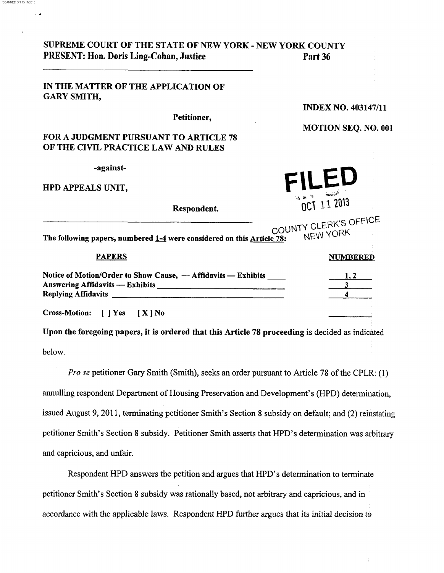| SUPREME COURT OF THE STATE OF NEW YORK - NEW YORK COUNTY<br>PRESENT: Hon. Doris Ling-Cohan, Justice | Part 36                           |
|-----------------------------------------------------------------------------------------------------|-----------------------------------|
| IN THE MATTER OF THE APPLICATION OF<br><b>GARY SMITH,</b>                                           |                                   |
|                                                                                                     | <b>INDEX NO. 403147/11</b>        |
| Petitioner,<br><b>FOR A JUDGMENT PURSUANT TO ARTICLE 78</b><br>OF THE CIVIL PRACTICE LAW AND RULES  | <b>MOTION SEQ. NO. 001</b>        |
| -against-<br><b>HPD APPEALS UNIT,</b>                                                               | しヒリ                               |
| Respondent.                                                                                         | OCT 11 2013                       |
| The following papers, numbered 1-4 were considered on this Article 78:                              | COUNTY CLERK'S OFFICE<br>NEW YORK |
| <b>PAPERS</b>                                                                                       | <b>NUMBERED</b>                   |
| Notice of Motion/Order to Show Cause, - Affidavits - Exhibits                                       |                                   |
| <b>Cross-Motion:</b><br>$\blacksquare$ $\blacksquare$ $\blacksquare$ $\blacksquare$<br>$[X]$ No     |                                   |

SCANNED ON 10/11/2013

**r.** 

Upon the foregoing papers, it is ordered that this Article **78** proceeding is decided as indicated below.

*Pro* **se** petitioner *Gary* Smith (Smith), seeks an order pursuant to Article **78** of the CPLR: (1) annulling respondent Department of Housing Preservation and Development's (HPD) determination, issued August 9,201 1, terminating petitioner Smith's Section **8** subsidy on default; and **(2)** reinstating petitioner Smith's Section **8** subsidy. Petitioner Smith asserts that HPD's determination was arbitrary and capricious, and unfair.

Respondent HPD answers the petition and argues that HPD's determination to terminate petitioner Smith's Section **8** subsidy was rationally based, not arbitrary and capricious, and in accordance with the applicable laws. Respondent HPD further argues that its initial decision *to*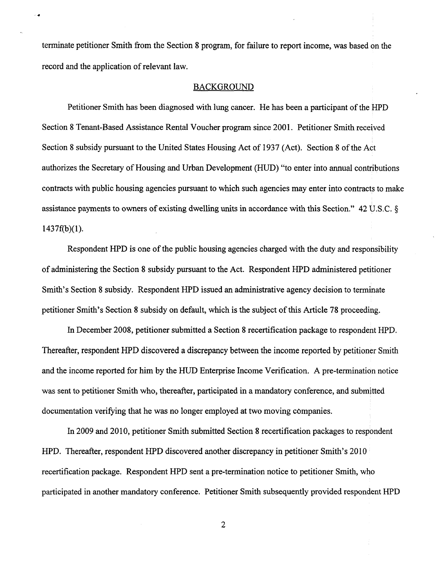terminate petitioner Smith from the Section 8 program, for failure to report income, was based on the record and the application of relevant law.

## BACKGROUND

Petitioner Smith has been diagnosed with lung cancer. He has been a participant of the HPD Section 8 Tenant-Based Assistance Rental Voucher program since 2001. Petitioner Smith received Section 8 subsidy pursuant to the United States Housing Act of 1937 (Act). Section 8 of the Act authorizes the Secretary of Housing and Urban Development (HUD) "to enter into annual contributions contracts with public housing agencies pursuant to which such agencies may enter into contracts to make assistance payments to owners of existing dwelling units in accordance with this Section." 42 U.S.C.  $\delta$  $1437f(b)(1)$ .

Respondent HPD is one of the public housing agencies charged with the duty and responsibility of administering the Section 8 subsidy pursuant to the Act. Respondent HPD administered petitioner Smith's Section **8** subsidy. Respondent HPD issued an administrative agency decision to terminate petitioner Smith's Section 8 subsidy on default, which is the subject of this Article 78 proceeding.

In December 2008, petitioner submitted a Section 8 recertification package to respondent HPD. Thereafter, respondent HPD discovered a discrepancy between the income reported by petitioner Smith and the income reported for him by the HUD Enterprise Income Verification. A pre-termination notice was sent to petitioner Smith who, thereafter, participated in a mandatory conference, and submitted documentation verifying that he was no longer employed at two moving companies.

In 2009 and 2010, petitioner Smith submitted Section 8 recertification packages to respondent HPD. Thereafter, respondent HPD discovered another discrepancy in petitioner Smith's 20 10 recertification package. Respondent HPD sent a pre-termination notice to petitioner Smith, who participated in another mandatory conference. Petitioner Smith subsequently provided respondent HPD

2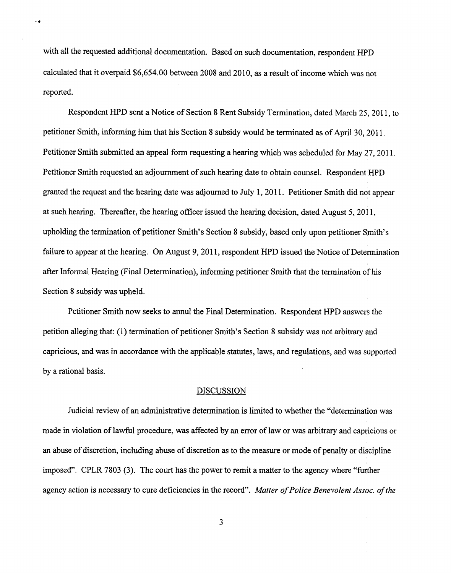with all the requested additional documentation. Based on such documentation, respondent HPD calculated that it overpaid \$6,654.00 between 2008 and 2010, as a result of income which was not reported.

Respondent HPD sent a Notice of Section 8 Rent Subsidy Termination, dated March 25, 2011, to petitioner Smith, informing him that his Section **8** subsidy would be terminated as of April 30,201 1. Petitioner Smith submitted an appeal form requesting a hearing which was scheduled for May 27, 2011. Petitioner Smith requested an adjournment of such hearing date to obtain counsel. Respondent HPD granted the request and the hearing date was adjourned to July 1, 2011. Petitioner Smith did not appear at such hearing. Thereafter, the hearing officer issued the hearing decision, dated August 5,201 1, upholding the termination of petitioner Smith's Section **8** subsidy, based only upon petitioner Smith's failure to appear at the hearing. On August 9,201 1, respondent HPD issued the Notice of Determination after Informal Hearing (Final Determination), informing petitioner Smith that the termination of his Section **8** subsidy was upheld.

Petitioner Smith now seeks to annul the Final Determination. Respondent HPD answers the petition alleging that: **(1)** termination of petitioner Smith's Section **8** subsidy was not arbitrary and capricious, and was in accordance with the applicable statutes, laws, and regulations, and was supported by a rational basis.

## **DISCUSSION**

Judicial review of an administrative determination is limited to whether the "determination was made in violation of lawful procedure, was affected by an error of law or was arbitrary and capricious or an abuse of discretion, including abuse of discretion as to the measure or mode of penalty or discipline imposed". CPLR 7803 (3). The court has the power to remit a matter to the agency where "further agency action is necessary to cure deficiencies in the record". *Matter of Police Benevolent Assoc. of the* 

3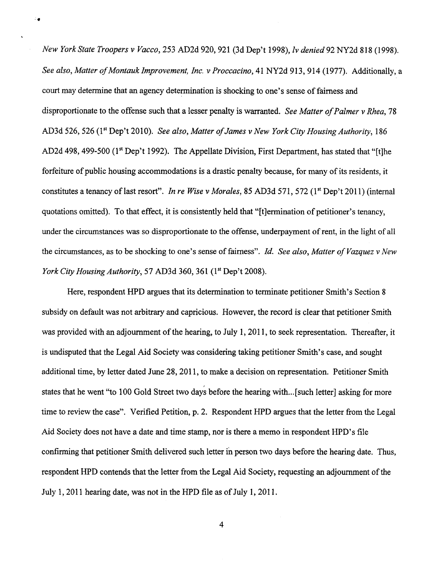*New York State Troopers v Vacco,* 253 AD2d 920,921 (3d Dep't 1998), *lv denied* 92 NY2d 8 18 (1 998). *See also, Matter of Montauk Improvement, Inc. v Proccacino,* 4 1 NY2d 9 13,9 14 (1 977). Additionally, a court may determine that an agency determination is shocking to one's sense of fairness and disproportionate to the offense such that a lesser penalty is warranted. *See Matter of Palmer v Rhea, 78*  AD3d 526,526 (lst Dep't 2010). *See also, Matter ofJames v New York City Housing Authority,* 186 AD2d 498, 499-500 (1<sup>st</sup> Dep't 1992). The Appellate Division, First Department, has stated that "[t]he forfeiture of public housing accommodations is a drastic penalty because, for many of its residents, it constitutes a tenancy of last resort". *In re Wise v Morales*, 85 AD3d 571, 572 (1<sup>st</sup> Dep't 2011) (internal quotations omitted). To that effect, it is consistently held that "[tlermination of petitioner's tenancy, under the circumstances was so disproportionate to the offense, underpayment of rent, in the light of all the circumstances, as to be shocking to one's sense of fairness". *Id. See also, Matter of Vuzquez v New York City Housing Authority, 57 AD3d 360, 361 (1<sup>st</sup> Dep't 2008).* 

÷.

Here, respondent HPD argues that its determination to terminate petitioner Smith's Section 8 subsidy on default was not arbitrary and capricious. However, the record is clear that petitioner Smith was provided with an adjournment of the hearing, to July 1, 2011, to seek representation. Thereafter, it is undisputed that the Legal Aid Society was considering taking petitioner Smith's case, and sought additional time, by letter dated June 28, 2011, to make a decision on representation. Petitioner Smith states that he went "to 100 Gold Street two days before the hearing with...[such letter] asking for more time to review the case". Verified Petition, p. 2. Respondent HPD argues that the letter from the Legal Aid Society does not have a date and time **stamp,** nor is there a memo in respondent HPD's file confirming that petitioner Smith delivered such letter in person two days before the hearing date. Thus, respondent HPD contends that the letter from the Legal Aid Society, requesting **an** adjournment of the July 1, 2011 hearing date, was not in the HPD file as of July 1, 2011.

4